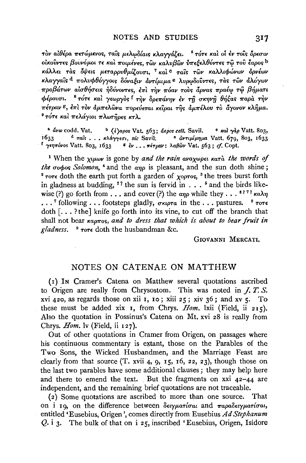τον αίθέρα πετώμενος, ταΐς μελφδίαις κλαγγάζει. <sup>ε</sup> τότε και οι εν τοΐς δρεσιν οικούντες βουνόμοι τε και ποιμένες, των καλυβων υπεξελθόντες τω του έαρος <sup>b</sup> κάλλει τας όψεις μεταρρυθμίζουσι, <sup>7</sup> και <sup>ο</sup> ταίς των καλλιφώνων όρνέων κλαγγαΐς <sup>d</sup> πολυφθόγγοις δόναξιν άντίμιμα <sup>e</sup> λυρωδούντες, τας των αλόγων προβάτων αίσθήσεις ήδύνοντες, έπι την πόαν τους άρνας πραέω τώ βήματι φέρουσι. <sup>8</sup> τότε και γεωργός <sup>f</sup> την δρεπάνην εν τη σκηνή θήξας παρα την πέτραν <sup>ε</sup>, έπι τον άμπελώνα πορεύεται κείραι της άμπέλου το άγονον κλήμα. <sup>9</sup> τότε και πελάγιοι πλωτήρες κτλ.

<sup>a</sup> avw codd. Vat. <sup>b</sup>  $\langle \ell \rangle$ apos Vat. 563; aepos cett. Savil.  $\circ$  kal  $\gamma$ dp Vatt. 803, <sup>d</sup> ταίς ... κλάγγεσι, sic Savil.  $\bullet$  αντιμίμημα Vatt. 679, 803, 1633  $1633 -$ <sup>- f</sup> γεηπόνοs Vatt. 803, 1633 - <sup>ε</sup> έν... πέτραν: λαβὼν Vat. 563; cf. Copt.

<sup>1</sup> When the  $\chi$ *u<sub>ww</sub>* is gone by and the rain avayword kara the words of *the*  $\sigma$  $\phi$  $\sigma$ *s Solomon*,  $\alpha$  and the  $\alpha$ <sub>n</sub> $\sigma$  is pleasant, and the sun doth shine; <sup>2</sup> τοτε doth the earth put forth a garden of χορτος, <sup>8</sup> the trees burst forth in gladness at budding, <sup>2</sup>? the sun is fervid in . . . <sup>5</sup> and the birds likewise (?) go forth from . . . and cover (?) the ano while they . . . <sup>6 ? 7</sup>  $\kappa a \lambda \eta$ ...<sup>7</sup> following ... footsteps gladly,  $\sigma \kappa \varphi \tau a$  in the ... pastures. <sup>8</sup>  $\tau \sigma \tau \epsilon$ doth  $[...]$ ? the knife go forth into its vine, to cut off the branch that shall not bear  $\kappa a \rho \pi o s$ , and to dress that which is about to bear fruit in gladness.  $9 \text{ rore}$  doth the husbandman &c.

GIOVANNI MERCATI.

## NOTES ON CATENAE ON MATTHEW

(1) In Cramer's Catena on Matthew several quotations ascribed to Origen are really from Chrysostom. This was noted in  $\ddot{J}$ ,  $\ddot{T}$ . S. xvi 420, as regards those on xii 1, 10; xiii 25; xiv 36; and xv 5. To these must be added xix  $\mathbf{r}$ , from Chrys. *Hom*. lxii (Field, ii 215). Also the quotation in Possinus's Catena on Mt. xvi 28 is really from Chrys.  $Hom.$  lv (Field, ii  $127$ ).

Out of other quotations in Cramer from Origen, on passages where his continuous commentary is extant, those on the Parables of the Two Sons, the Wicked Husbandmen, and the Marriage Feast are clearly from that source  $(T. xvii 4, 9, 15, 16, 22, 23)$ , though those on the last two parables have some additional clauses; they may help here and there to emend the text. But the fragments on  $xxi$  42-44 are independent, and the remaining brief quotations are not traceable.

(2) Some quotations are ascribed to more than one source. That on i 19, on the difference between  $\delta \epsilon v \mu a \tau i \sigma a \iota$  and  $\pi a \rho a \delta \epsilon v \mu a \tau i \sigma a \iota$ , entitled 'Eusebius, Origen', comes directly from Eusebius Ad Stephanum Q. i 3. The bulk of that on i 25, inscribed 'Eusebius, Origen, Isidore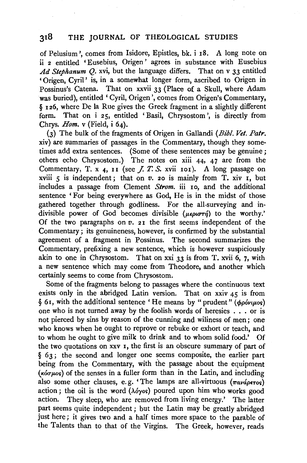## **318** THE JOURNAL OF THEOLOGICAL STUDIES

of Pelusium ', comes from Isidore, Epistles, bk. i 18. A long note on ii 2 entitled 'Eusebius, Origen' agrees in substance with Eusebius *Ad Stephanum* Q. xvi, but the language differs. That on v 33 entitled 'Origen, Cyril' is, in a somewhat longer form, ascribed to Origen in Possinus's Catena. That on xxvii 33 (Place of a Skull, where Adam was buried), entitled ' Cyril, Origen', comes from Origen's Commentary, § 126, where De la Rue gives the Greek fragment in a slightly different form. That on i 25, entitled 'Basil, Chrysostom ', is directly from Chrys. *Hom.* v (Field, i 64).

(3) The bulk of the fragments of Origen in Gallandi *(Bibl. Vet. Pair.*  xiv} are summaries of passages in the Commentary, though they sometimes add extra sentences. (Some of these sentences may be genuine; others echo Chrysostom.) The notes on xiii  $44$ ,  $47$  are from the Commentary, T. x  $_4$ , 11 (see *J. T. S.* xvii 101). A long passage on xviii 5 is independent; that on *v*. 20 is mainly from T. xiv I, but includes a passage from Clement *Strom.* iii 10, and the additional sentence 'For being everywhere as God, He is in the midst of those gathered together through godliness. For the all-surveying and indivisible power of God becomes divisible ( $\mu \epsilon \rho \omega \sigma \tau \eta$ ) to the worthy.' Of the two paragraphs on  $v$ . 21 the first seems independent of the Commentary; its genuineness, however, is confirmed by the substantial agreement of a fragment in Possinus. The second summarizes the Commentary, prefixing a new sentence, which is however suspiciously akin to one in Chrysostom. That on xxi  $33$  is from T. xvii 6, 7, with a new sentence which may come from Theodore, and another which certainly seems to come from Chrysostom.

Some of the fragments belong to passages where the continuous text exists only in the abridged Latin version. That on xxiv  $45$  is from § 61, with the additional sentence 'He means by "prudent" (φρόνιμος) one who is not turned away by the foolish words of heresies ... or is not pierced by sins by reason of the cunning and wiliness of men; one who knows when he ought to reprove or rebuke or exhort or teach, and to whom he ought to give milk to drink and to whom solid food.' Of the two quotations on xxv 1, the first is an obscure summary of part of § 63; the second and longer one seems composite, the earlier part being from the Commentary, with the passage about the equipment  $(\kappa \omega \omega)$  of the senses in a fuller form than in the Latin, and including also some other clauses, e.g. 'The lamps are all-virtuous  $(\pi a \nu a \rho \epsilon \tau)$ action; the oil is the word  $(\lambda \phi$ yos) poured upon him who works good action. They sleep, who are removed from living energy.' The latter part seems quite independent; but the Latin may be greatly abridged just here; it gives two and a half times more space to the parable of the Talents than to that of the Virgins. The Greek, however, reads